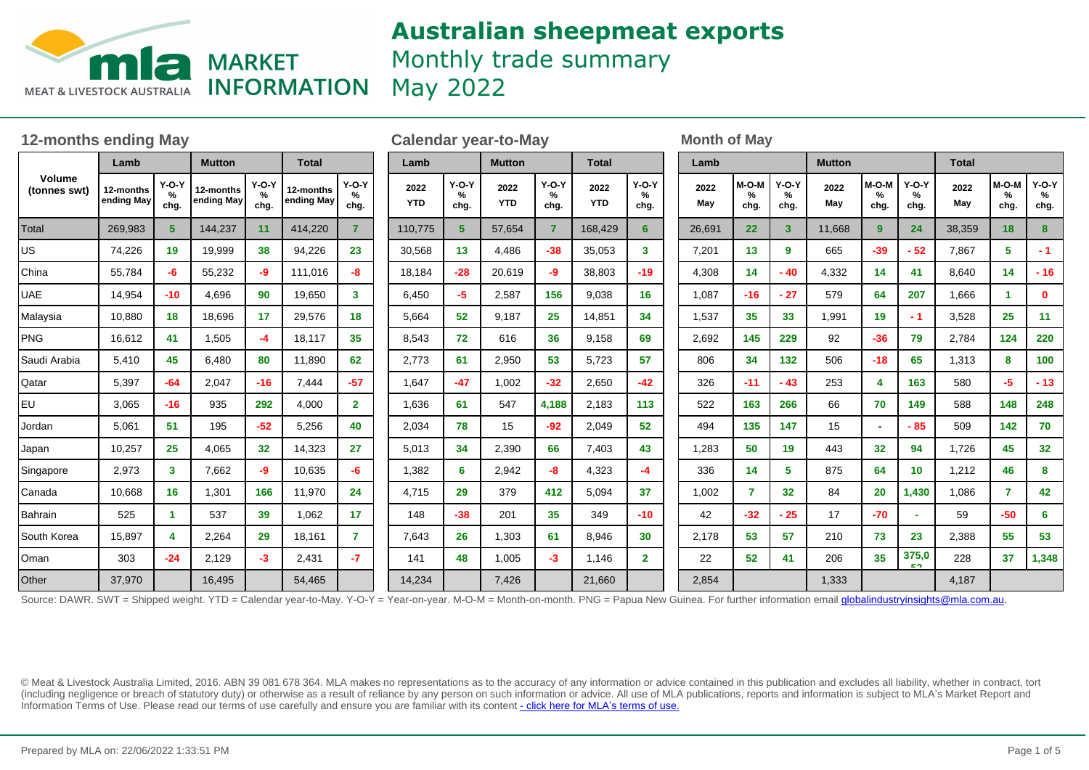

# **Australian sheepmeat exports** Monthly trade summary

May 2022

| <b>12-months ending May</b> |                         |                      |                         |                      |                         |                         | <b>Calendar year-to-May</b> |                      |                    |                         |                    |                      | <b>Month of May</b> |                      |                      |               |                    |                      |              |                                |                      |
|-----------------------------|-------------------------|----------------------|-------------------------|----------------------|-------------------------|-------------------------|-----------------------------|----------------------|--------------------|-------------------------|--------------------|----------------------|---------------------|----------------------|----------------------|---------------|--------------------|----------------------|--------------|--------------------------------|----------------------|
| Volume<br>(tonnes swt)      | Lamb                    |                      | <b>Mutton</b>           |                      | <b>Total</b>            |                         | Lamb                        |                      | <b>Mutton</b>      |                         | <b>Total</b>       |                      | Lamb                |                      |                      | <b>Mutton</b> |                    |                      | <b>Total</b> |                                |                      |
|                             | 12-months<br>ending May | $Y-O-Y$<br>%<br>chg. | 12-months<br>ending May | $Y-O-Y$<br>%<br>chg. | 12-months<br>ending May | $Y-O-Y$<br>$\%$<br>chg. | 2022<br><b>YTD</b>          | $Y-O-Y$<br>%<br>chg. | 2022<br><b>YTD</b> | $Y-O-Y$<br>$\%$<br>chg. | 2022<br><b>YTD</b> | $Y-O-Y$<br>%<br>chg. | 2022<br>May         | $M-O-M$<br>%<br>chg. | $Y-O-Y$<br>%<br>chg. | 2022<br>May   | M-O-M<br>%<br>chg. | $Y-O-Y$<br>%<br>chg. | 2022<br>May  | M-O-M<br>$\frac{1}{2}$<br>chg. | $Y-O-Y$<br>%<br>chg. |
| Total                       | 269.983                 | 5                    | 144,237                 | 11                   | 414,220                 | $\mathbf{7}$            | 110,775                     | 5                    | 57.654             | $\overline{7}$          | 168,429            | 6                    | 26.691              | 22                   | 3 <sup>1</sup>       | 11,668        | 9                  | 24                   | 38,359       | 18                             | 8                    |
| US                          | 74,226                  | 19                   | 19,999                  | 38                   | 94,226                  | 23                      | 30,568                      | 13                   | 4,486              | $-38$                   | 35,053             | 3                    | 7,201               | 13                   | 9                    | 665           | $-39$              | $-52$                | 7,867        | 5                              | $-1$                 |
| China                       | 55,784                  | -6                   | 55,232                  | -9                   | 111,016                 | -8                      | 18,184                      | $-28$                | 20,619             | -9                      | 38,803             | $-19$                | 4,308               | 14                   | - 40                 | 4,332         | 14                 | 41                   | 8,640        | 14                             | $-16$                |
| <b>UAE</b>                  | 14,954                  | $-10$                | 4,696                   | 90                   | 19,650                  | 3 <sup>1</sup>          | 6,450                       | $-5$                 | 2,587              | 156                     | 9,038              | 16                   | 1,087               | $-16$                | $-27$                | 579           | 64                 | 207                  | 1,666        | -1                             | $\mathbf 0$          |
| Malaysia                    | 10,880                  | 18                   | 18,696                  | 17                   | 29,576                  | 18                      | 5,664                       | 52                   | 9,187              | 25                      | 14,851             | 34                   | 1,537               | 35                   | 33                   | 1,991         | 19                 | $-1$                 | 3,528        | 25                             | 11                   |
| PNG                         | 16,612                  | 41                   | 1,505                   | -4                   | 18,117                  | 35                      | 8,543                       | 72                   | 616                | 36                      | 9,158              | 69                   | 2,692               | 145                  | 229                  | 92            | $-36$              | 79                   | 2,784        | 124                            | 220                  |
| Saudi Arabia                | 5,410                   | 45                   | 6,480                   | 80                   | 11,890                  | 62                      | 2,773                       | 61                   | 2,950              | 53                      | 5,723              | 57                   | 806                 | 34                   | 132                  | 506           | $-18$              | 65                   | 1,313        | 8                              | 100                  |
| Qatar                       | 5,397                   | $-64$                | 2,047                   | $-16$                | 7,444                   | $-57$                   | 1,647                       | $-47$                | 1,002              | $-32$                   | 2,650              | $-42$                | 326                 | $-11$                | $-43$                | 253           | Δ                  | 163                  | 580          | $-5$                           | $-13$                |
| EU                          | 3,065                   | $-16$                | 935                     | 292                  | 4,000                   | $\overline{2}$          | 1,636                       | 61                   | 547                | 4,188                   | 2,183              | 113                  | 522                 | 163                  | 266                  | 66            | 70                 | 149                  | 588          | 148                            | 248                  |
| Jordan                      | 5,061                   | 51                   | 195                     | $-52$                | 5,256                   | 40                      | 2,034                       | 78                   | 15                 | $-92$                   | 2,049              | 52                   | 494                 | 135                  | 147                  | 15            |                    | $-85$                | 509          | $142$                          | 70                   |
| Japan                       | 10,257                  | 25                   | 4,065                   | 32                   | 14,323                  | 27                      | 5,013                       | 34                   | 2,390              | 66                      | 7,403              | 43                   | 1,283               | 50                   | 19                   | 443           | 32                 | 94                   | 1,726        | 45                             | 32 <sub>2</sub>      |
| Singapore                   | 2,973                   | 3 <sup>1</sup>       | 7,662                   | -9                   | 10,635                  | -6                      | 1,382                       | 6                    | 2,942              | -8                      | 4,323              | -4                   | 336                 | 14                   | 5                    | 875           | 64                 | 10                   | 1,212        | 46                             | 8                    |
| Canada                      | 10,668                  | 16                   | 1,301                   | 166                  | 11,970                  | 24                      | 4,715                       | 29                   | 379                | 412                     | 5,094              | 37                   | 1.002               | $\overline{7}$       | 32 <sub>2</sub>      | 84            | 20                 | 1,430                | 1,086        | $\overline{7}$                 | 42                   |
| Bahrain                     | 525                     | $\blacktriangleleft$ | 537                     | 39                   | 1,062                   | 17                      | 148                         | $-38$                | 201                | 35 <sub>5</sub>         | 349                | $-10$                | 42                  | $-32$                | $-25$                | 17            | $-70$              | $\sim$               | 59           | $-50$                          | 6                    |
| South Korea                 | 15,897                  | 4                    | 2,264                   | 29                   | 18,161                  | $\mathbf{7}$            | 7,643                       | 26                   | 1,303              | 61                      | 8,946              | 30                   | 2,178               | 53                   | 57                   | 210           | 73                 | 23                   | 2,388        | 55                             | 53                   |
| Oman                        | 303                     | $-24$                | 2,129                   | $-3$                 | 2,431                   | -7                      | 141                         | 48                   | 1,005              | $-3$                    | 1,146              | $\mathbf{2}$         | 22                  | 52                   | 41                   | 206           | 35                 | 375,0<br>E9.         | 228          | 37                             | 1,348                |
| Other                       | 37,970                  |                      | 16,495                  |                      | 54,465                  |                         | 14,234                      |                      | 7,426              |                         | 21,660             |                      | 2,854               |                      |                      | 1,333         |                    |                      | 4,187        |                                |                      |

Source: DAWR. SWT = Shipped weight. YTD = Calendar year-to-May. Y-O-Y = Year-on-year. M-O-M = Month-on-month. PNG = Papua New Guinea. For further information email globalindustryinsights@mla.com.au.

© Meat & Livestock Australia Limited, 2016. ABN 39 081 678 364. MLA makes no representations as to the accuracy of any information or advice contained in this publication and excludes all liability, whether in contract, tort (including negligence or breach of statutory duty) or otherwise as a result of reliance by any person on such information or advice. All use of MLA publications, reports and information is subject to MLA¶s Market Report and Information Terms of Use. Please read our terms of use carefully and ensure you are familiar with its content [- click here for MLA](http://www.mla.com.au/files/edae0364-a185-4a6f-9dff-a42700d1463a/MLA-Market-Report-and-Information-Terms-of-use-Dec-2014.pdf)'[s terms of use.](http://www.mla.com.au/files/edae0364-a185-4a6f-9dff-a42700d1463a/MLA-Market-Report-and-Information-Terms-of-use-Dec-2014.pdf)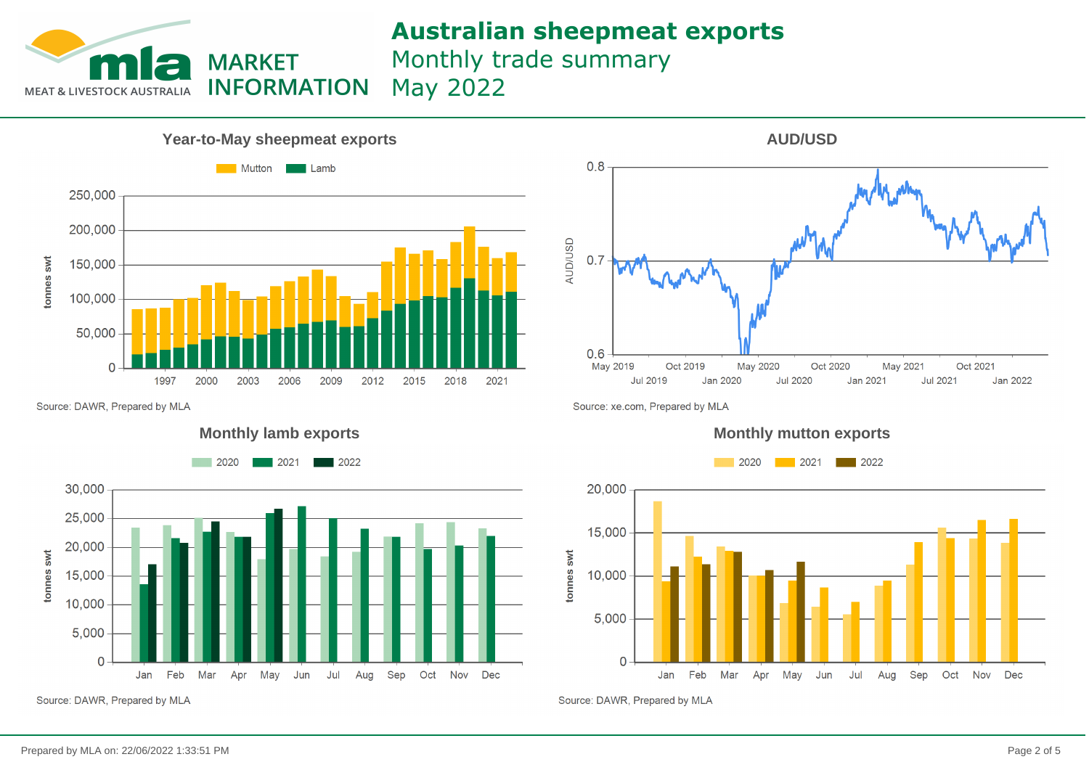

### **Australian sheepmeat exports**

Monthly trade summary May 2022



Source: DAWR, Prepared by MLA



Source: DAWR, Prepared by MLA



Source: xe.com, Prepared by MLA





Source: DAWR, Prepared by MLA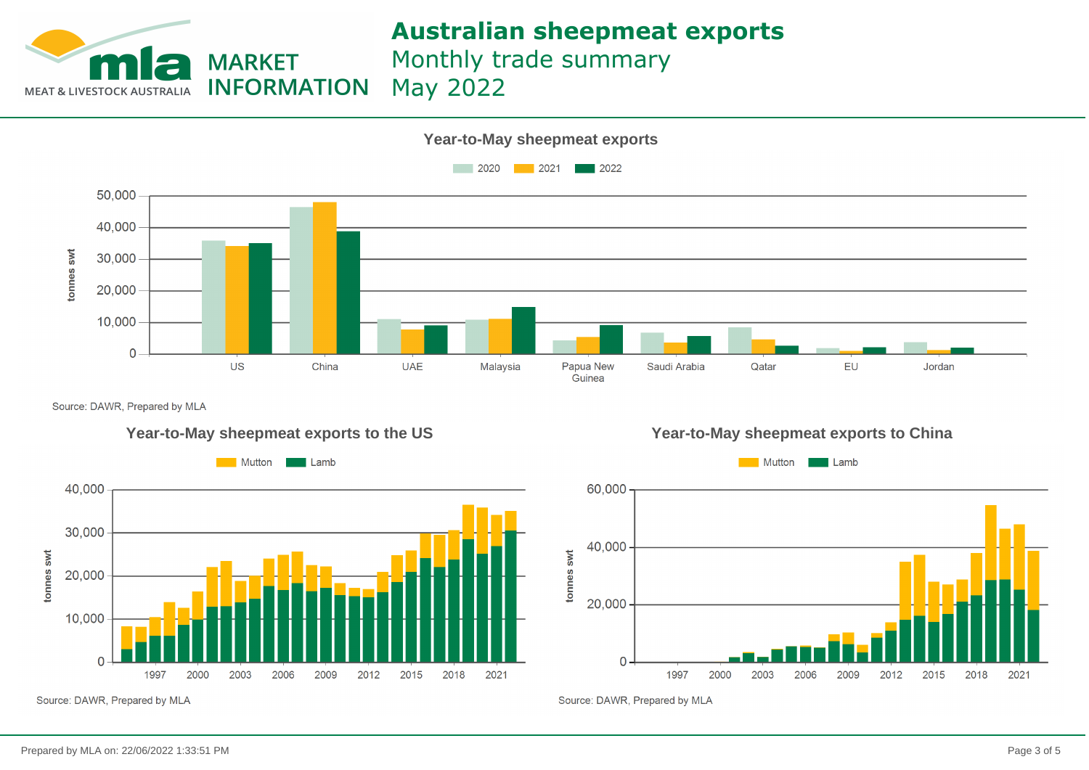

## **Australian sheepmeat exports**

Monthly trade summary

May 2022



Source: DAWR, Prepared by MLA



**Year-to-May sheepmeat exports to the US Year-to-May sheepmeat exports to China**



Source: DAWR, Prepared by MLA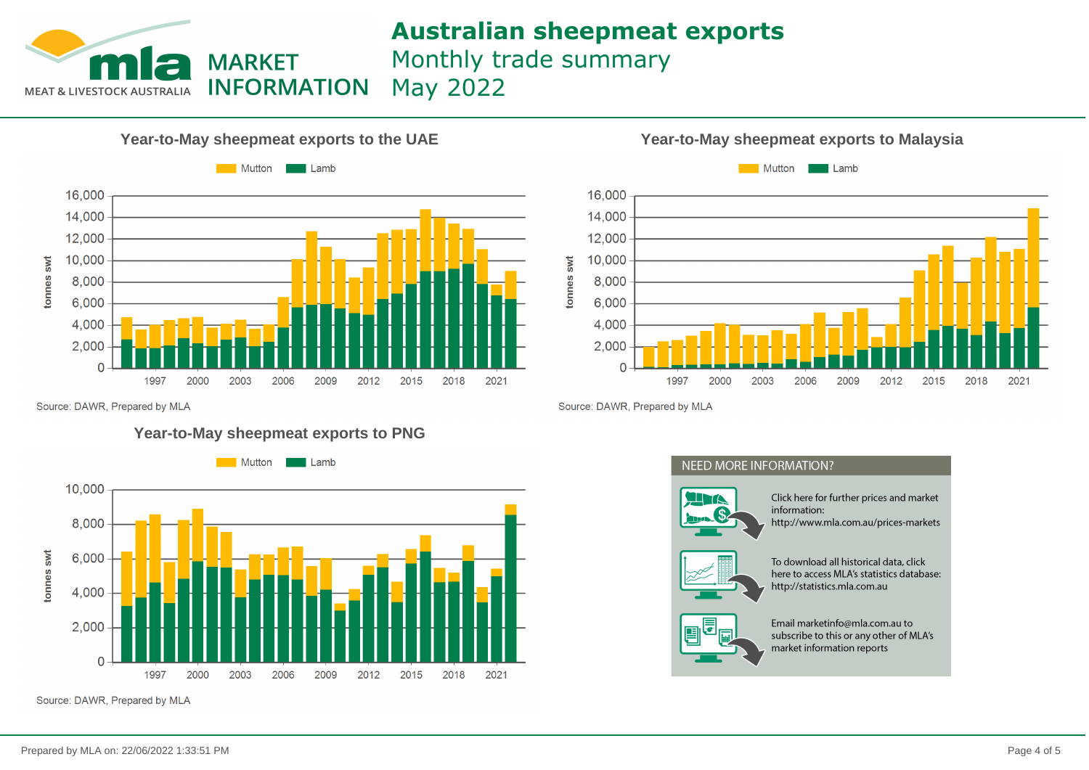

# **Australian sheepmeat exports**

Monthly trade summary

May 2022





Source: DAWR, Prepared by MLA

### **Year-to-May sheepmeat exports to PNG**



Source: DAWR, Prepared by MLA

Source: DAWR, Prepared by MLA